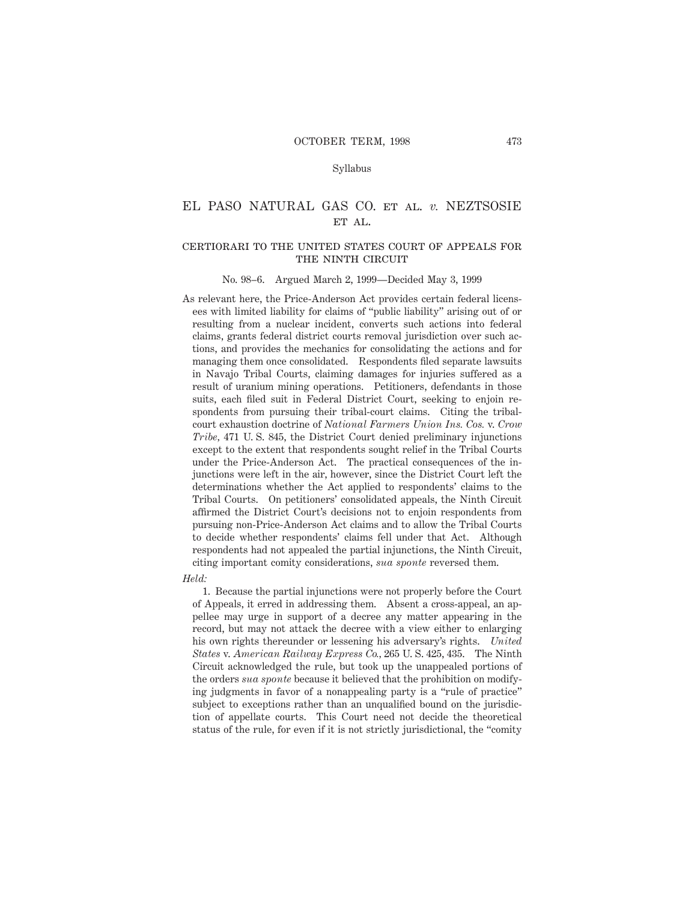## Syllabus

# EL PASO NATURAL GAS CO. et al. *v.* NEZTSOSIE ET AL.

# certiorari to the united states court of appeals forTHE NINTH CIRCUIT

#### No. 98–6. Argued March 2, 1999—Decided May 3, 1999

As relevant here, the Price-Anderson Act provides certain federal licensees with limited liability for claims of "public liability" arising out of or resulting from a nuclear incident, converts such actions into federal claims, grants federal district courts removal jurisdiction over such actions, and provides the mechanics for consolidating the actions and for managing them once consolidated. Respondents filed separate lawsuits in Navajo Tribal Courts, claiming damages for injuries suffered as a result of uranium mining operations. Petitioners, defendants in those suits, each filed suit in Federal District Court, seeking to enjoin respondents from pursuing their tribal-court claims. Citing the tribalcourt exhaustion doctrine of *National Farmers Union Ins. Cos.* v. *Crow Tribe,* 471 U. S. 845, the District Court denied preliminary injunctions except to the extent that respondents sought relief in the Tribal Courts under the Price-Anderson Act. The practical consequences of the injunctions were left in the air, however, since the District Court left the determinations whether the Act applied to respondents' claims to the Tribal Courts. On petitioners' consolidated appeals, the Ninth Circuit affirmed the District Court's decisions not to enjoin respondents from pursuing non-Price-Anderson Act claims and to allow the Tribal Courts to decide whether respondents' claims fell under that Act. Although respondents had not appealed the partial injunctions, the Ninth Circuit, citing important comity considerations, *sua sponte* reversed them.

*Held:*

1. Because the partial injunctions were not properly before the Court of Appeals, it erred in addressing them. Absent a cross-appeal, an appellee may urge in support of a decree any matter appearing in the record, but may not attack the decree with a view either to enlarging his own rights thereunder or lessening his adversary's rights. *United States* v. *American Railway Express Co.,* 265 U. S. 425, 435. The Ninth Circuit acknowledged the rule, but took up the unappealed portions of the orders *sua sponte* because it believed that the prohibition on modifying judgments in favor of a nonappealing party is a "rule of practice" subject to exceptions rather than an unqualified bound on the jurisdiction of appellate courts. This Court need not decide the theoretical status of the rule, for even if it is not strictly jurisdictional, the "comity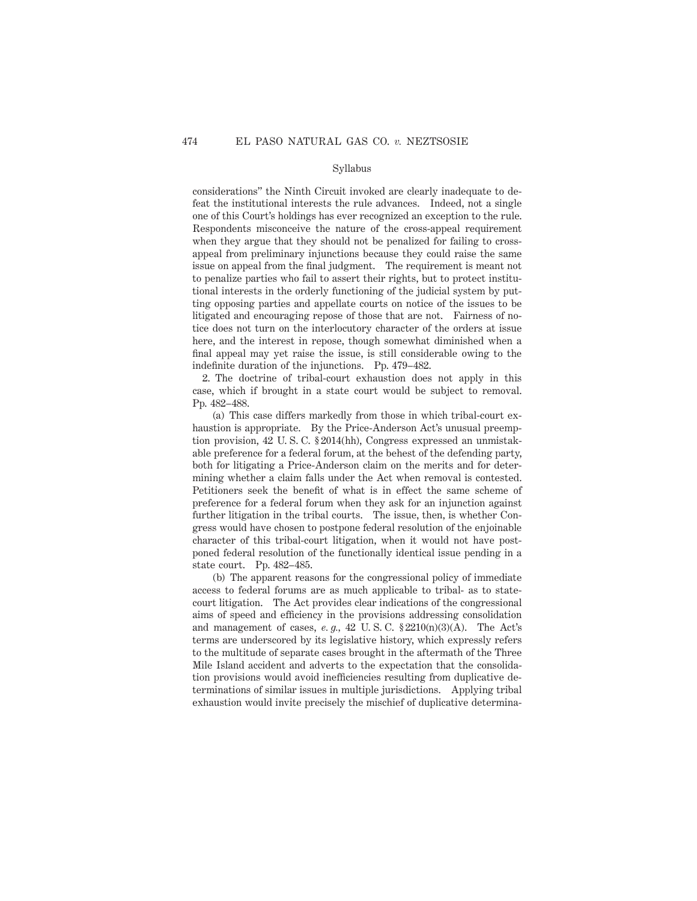## Syllabus

considerations" the Ninth Circuit invoked are clearly inadequate to defeat the institutional interests the rule advances. Indeed, not a single one of this Court's holdings has ever recognized an exception to the rule. Respondents misconceive the nature of the cross-appeal requirement when they argue that they should not be penalized for failing to crossappeal from preliminary injunctions because they could raise the same issue on appeal from the final judgment. The requirement is meant not to penalize parties who fail to assert their rights, but to protect institutional interests in the orderly functioning of the judicial system by putting opposing parties and appellate courts on notice of the issues to be litigated and encouraging repose of those that are not. Fairness of notice does not turn on the interlocutory character of the orders at issue here, and the interest in repose, though somewhat diminished when a final appeal may yet raise the issue, is still considerable owing to the indefinite duration of the injunctions. Pp. 479–482.

2. The doctrine of tribal-court exhaustion does not apply in this case, which if brought in a state court would be subject to removal. Pp. 482–488.

(a) This case differs markedly from those in which tribal-court exhaustion is appropriate. By the Price-Anderson Act's unusual preemption provision, 42 U. S. C. § 2014(hh), Congress expressed an unmistakable preference for a federal forum, at the behest of the defending party, both for litigating a Price-Anderson claim on the merits and for determining whether a claim falls under the Act when removal is contested. Petitioners seek the benefit of what is in effect the same scheme of preference for a federal forum when they ask for an injunction against further litigation in the tribal courts. The issue, then, is whether Congress would have chosen to postpone federal resolution of the enjoinable character of this tribal-court litigation, when it would not have postponed federal resolution of the functionally identical issue pending in a state court. Pp. 482–485.

(b) The apparent reasons for the congressional policy of immediate access to federal forums are as much applicable to tribal- as to statecourt litigation. The Act provides clear indications of the congressional aims of speed and efficiency in the provisions addressing consolidation and management of cases,  $e, g, 42$  U.S.C.  $\S 2210(n)(3)(A)$ . The Act's terms are underscored by its legislative history, which expressly refers to the multitude of separate cases brought in the aftermath of the Three Mile Island accident and adverts to the expectation that the consolidation provisions would avoid inefficiencies resulting from duplicative determinations of similar issues in multiple jurisdictions. Applying tribal exhaustion would invite precisely the mischief of duplicative determina-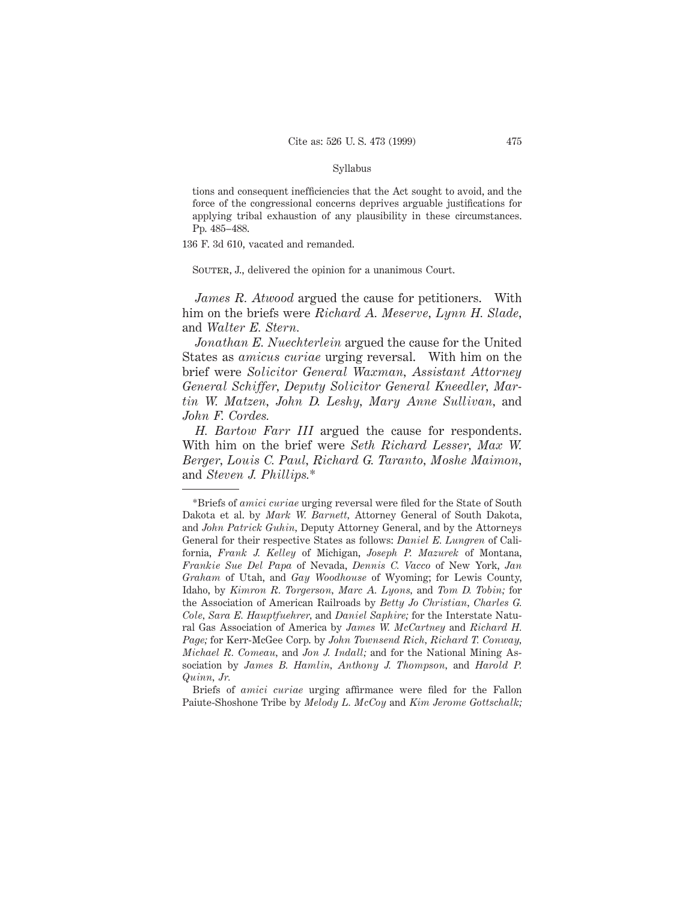## Syllabus

tions and consequent inefficiencies that the Act sought to avoid, and the force of the congressional concerns deprives arguable justifications for applying tribal exhaustion of any plausibility in these circumstances. Pp. 485–488.

136 F. 3d 610, vacated and remanded.

SOUTER, J., delivered the opinion for a unanimous Court.

*James R. Atwood* argued the cause for petitioners. With him on the briefs were *Richard A. Meserve, Lynn H. Slade,* and *Walter E. Stern.*

*Jonathan E. Nuechterlein* argued the cause for the United States as *amicus curiae* urging reversal. With him on the brief were *Solicitor General Waxman, Assistant Attorney General Schiffer, Deputy Solicitor General Kneedler, Martin W. Matzen, John D. Leshy, Mary Anne Sullivan,* and *John F. Cordes.*

*H. Bartow Farr III* argued the cause for respondents. With him on the brief were *Seth Richard Lesser, Max W. Berger, Louis C. Paul, Richard G. Taranto, Moshe Maimon,* and *Steven J. Phillips.*\*

<sup>\*</sup>Briefs of *amici curiae* urging reversal were filed for the State of South Dakota et al. by *Mark W. Barnett,* Attorney General of South Dakota, and *John Patrick Guhin,* Deputy Attorney General, and by the Attorneys General for their respective States as follows: *Daniel E. Lungren* of California, *Frank J. Kelley* of Michigan, *Joseph P. Mazurek* of Montana, *Frankie Sue Del Papa* of Nevada, *Dennis C. Vacco* of New York, *Jan Graham* of Utah, and *Gay Woodhouse* of Wyoming; for Lewis County, Idaho, by *Kimron R. Torgerson, Marc A. Lyons,* and *Tom D. Tobin;* for the Association of American Railroads by *Betty Jo Christian, Charles G. Cole, Sara E. Hauptfuehrer,* and *Daniel Saphire;* for the Interstate Natural Gas Association of America by *James W. McCartney* and *Richard H. Page;* for Kerr-McGee Corp. by *John Townsend Rich, Richard T. Conway, Michael R. Comeau,* and *Jon J. Indall;* and for the National Mining Association by *James B. Hamlin, Anthony J. Thompson,* and *Harold P. Quinn, Jr.*

Briefs of *amici curiae* urging affirmance were filed for the Fallon Paiute-Shoshone Tribe by *Melody L. McCoy* and *Kim Jerome Gottschalk;*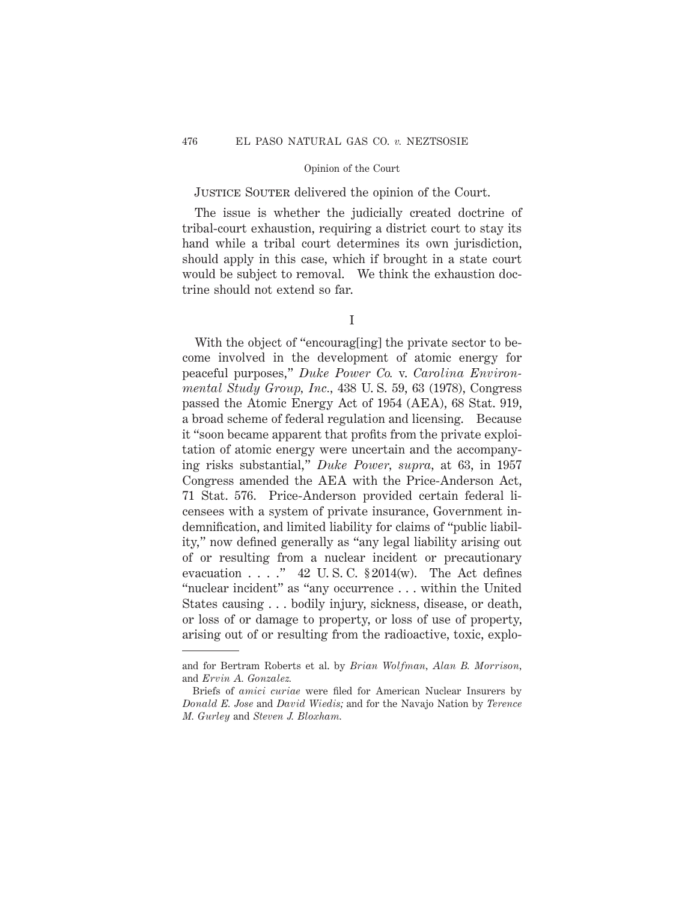JUSTICE SOUTER delivered the opinion of the Court.

The issue is whether the judicially created doctrine of tribal-court exhaustion, requiring a district court to stay its hand while a tribal court determines its own jurisdiction, should apply in this case, which if brought in a state court would be subject to removal. We think the exhaustion doctrine should not extend so far.

I

With the object of "encourag[ing] the private sector to become involved in the development of atomic energy for peaceful purposes," *Duke Power Co.* v. *Carolina Environmental Study Group, Inc.,* 438 U. S. 59, 63 (1978), Congress passed the Atomic Energy Act of 1954 (AEA), 68 Stat. 919, a broad scheme of federal regulation and licensing. Because it "soon became apparent that profits from the private exploitation of atomic energy were uncertain and the accompanying risks substantial," *Duke Power, supra,* at 63, in 1957 Congress amended the AEA with the Price-Anderson Act, 71 Stat. 576. Price-Anderson provided certain federal licensees with a system of private insurance, Government indemnification, and limited liability for claims of "public liability," now defined generally as "any legal liability arising out of or resulting from a nuclear incident or precautionary evacuation  $\ldots$  ." 42 U.S.C.  $\S 2014(w)$ . The Act defines "nuclear incident" as "any occurrence . . . within the United States causing . . . bodily injury, sickness, disease, or death, or loss of or damage to property, or loss of use of property, arising out of or resulting from the radioactive, toxic, explo-

and for Bertram Roberts et al. by *Brian Wolfman, Alan B. Morrison,* and *Ervin A. Gonzalez.*

Briefs of *amici curiae* were filed for American Nuclear Insurers by *Donald E. Jose* and *David Wiedis;* and for the Navajo Nation by *Terence M. Gurley* and *Steven J. Bloxham.*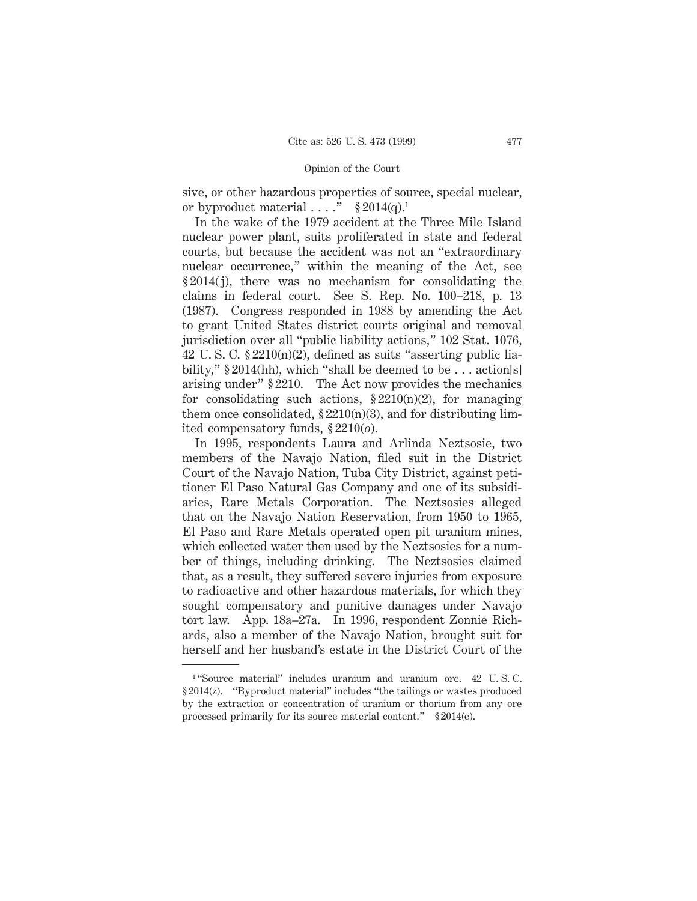sive, or other hazardous properties of source, special nuclear, or byproduct material  $\dots$ ." § 2014(q).<sup>1</sup>

In the wake of the 1979 accident at the Three Mile Island nuclear power plant, suits proliferated in state and federal courts, but because the accident was not an "extraordinary nuclear occurrence," within the meaning of the Act, see § 2014(j), there was no mechanism for consolidating the claims in federal court. See S. Rep. No. 100–218, p. 13 (1987). Congress responded in 1988 by amending the Act to grant United States district courts original and removal jurisdiction over all "public liability actions," 102 Stat. 1076, 42 U.S.C.  $$2210(n)(2)$ , defined as suits "asserting public liability," § 2014(hh), which "shall be deemed to be ... action[s] arising under" § 2210. The Act now provides the mechanics for consolidating such actions,  $\S 2210(n)(2)$ , for managing them once consolidated,  $\S 2210(n)(3)$ , and for distributing limited compensatory funds, § 2210(*o*).

In 1995, respondents Laura and Arlinda Neztsosie, two members of the Navajo Nation, filed suit in the District Court of the Navajo Nation, Tuba City District, against petitioner El Paso Natural Gas Company and one of its subsidiaries, Rare Metals Corporation. The Neztsosies alleged that on the Navajo Nation Reservation, from 1950 to 1965, El Paso and Rare Metals operated open pit uranium mines, which collected water then used by the Neztsosies for a number of things, including drinking. The Neztsosies claimed that, as a result, they suffered severe injuries from exposure to radioactive and other hazardous materials, for which they sought compensatory and punitive damages under Navajo tort law. App. 18a–27a. In 1996, respondent Zonnie Richards, also a member of the Navajo Nation, brought suit for herself and her husband's estate in the District Court of the

<sup>1</sup> "Source material" includes uranium and uranium ore. 42 U. S. C. § 2014(z). "Byproduct material" includes "the tailings or wastes produced by the extraction or concentration of uranium or thorium from any ore processed primarily for its source material content." § 2014(e).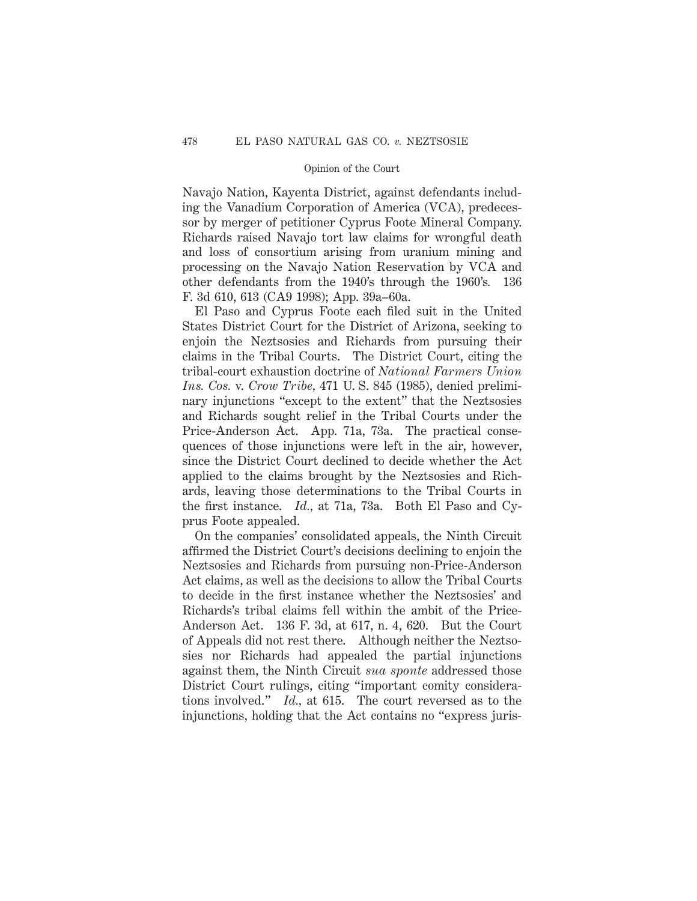Navajo Nation, Kayenta District, against defendants including the Vanadium Corporation of America (VCA), predecessor by merger of petitioner Cyprus Foote Mineral Company. Richards raised Navajo tort law claims for wrongful death and loss of consortium arising from uranium mining and processing on the Navajo Nation Reservation by VCA and other defendants from the 1940's through the 1960's*.* 136 F. 3d 610, 613 (CA9 1998); App. 39a–60a.

El Paso and Cyprus Foote each filed suit in the United States District Court for the District of Arizona, seeking to enjoin the Neztsosies and Richards from pursuing their claims in the Tribal Courts. The District Court, citing the tribal-court exhaustion doctrine of *National Farmers Union Ins. Cos.* v. *Crow Tribe,* 471 U. S. 845 (1985), denied preliminary injunctions "except to the extent" that the Neztsosies and Richards sought relief in the Tribal Courts under the Price-Anderson Act. App. 71a, 73a. The practical consequences of those injunctions were left in the air, however, since the District Court declined to decide whether the Act applied to the claims brought by the Neztsosies and Richards, leaving those determinations to the Tribal Courts in the first instance. *Id.,* at 71a, 73a. Both El Paso and Cyprus Foote appealed.

On the companies' consolidated appeals, the Ninth Circuit affirmed the District Court's decisions declining to enjoin the Neztsosies and Richards from pursuing non-Price-Anderson Act claims, as well as the decisions to allow the Tribal Courts to decide in the first instance whether the Neztsosies' and Richards's tribal claims fell within the ambit of the Price-Anderson Act. 136 F. 3d, at 617, n. 4, 620. But the Court of Appeals did not rest there. Although neither the Neztsosies nor Richards had appealed the partial injunctions against them, the Ninth Circuit *sua sponte* addressed those District Court rulings, citing "important comity considerations involved." *Id.,* at 615. The court reversed as to the injunctions, holding that the Act contains no "express juris-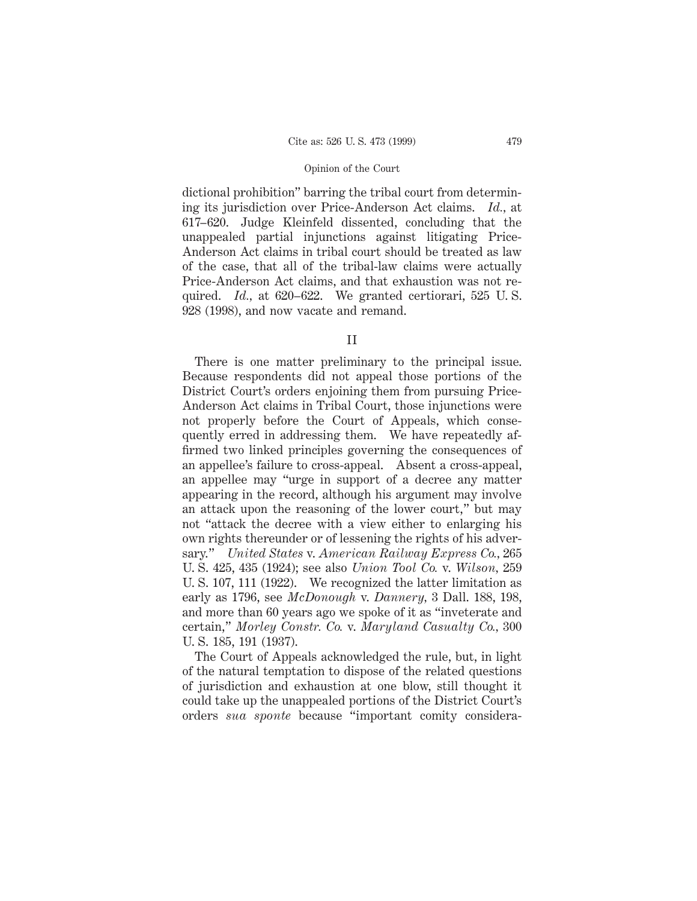dictional prohibition" barring the tribal court from determining its jurisdiction over Price-Anderson Act claims. *Id.,* at 617–620. Judge Kleinfeld dissented, concluding that the unappealed partial injunctions against litigating Price-Anderson Act claims in tribal court should be treated as law of the case, that all of the tribal-law claims were actually Price-Anderson Act claims, and that exhaustion was not required. *Id.,* at 620–622. We granted certiorari, 525 U. S. 928 (1998), and now vacate and remand.

II

There is one matter preliminary to the principal issue. Because respondents did not appeal those portions of the District Court's orders enjoining them from pursuing Price-Anderson Act claims in Tribal Court, those injunctions were not properly before the Court of Appeals, which consequently erred in addressing them. We have repeatedly affirmed two linked principles governing the consequences of an appellee's failure to cross-appeal. Absent a cross-appeal, an appellee may "urge in support of a decree any matter appearing in the record, although his argument may involve an attack upon the reasoning of the lower court," but may not "attack the decree with a view either to enlarging his own rights thereunder or of lessening the rights of his adversary." *United States* v. *American Railway Express Co.,* 265 U. S. 425, 435 (1924); see also *Union Tool Co.* v. *Wilson,* 259 U. S. 107, 111 (1922). We recognized the latter limitation as early as 1796, see *McDonough* v. *Dannery,* 3 Dall. 188, 198, and more than 60 years ago we spoke of it as "inveterate and certain," *Morley Constr. Co.* v. *Maryland Casualty Co.,* 300 U. S. 185, 191 (1937).

The Court of Appeals acknowledged the rule, but, in light of the natural temptation to dispose of the related questions of jurisdiction and exhaustion at one blow, still thought it could take up the unappealed portions of the District Court's orders *sua sponte* because "important comity considera-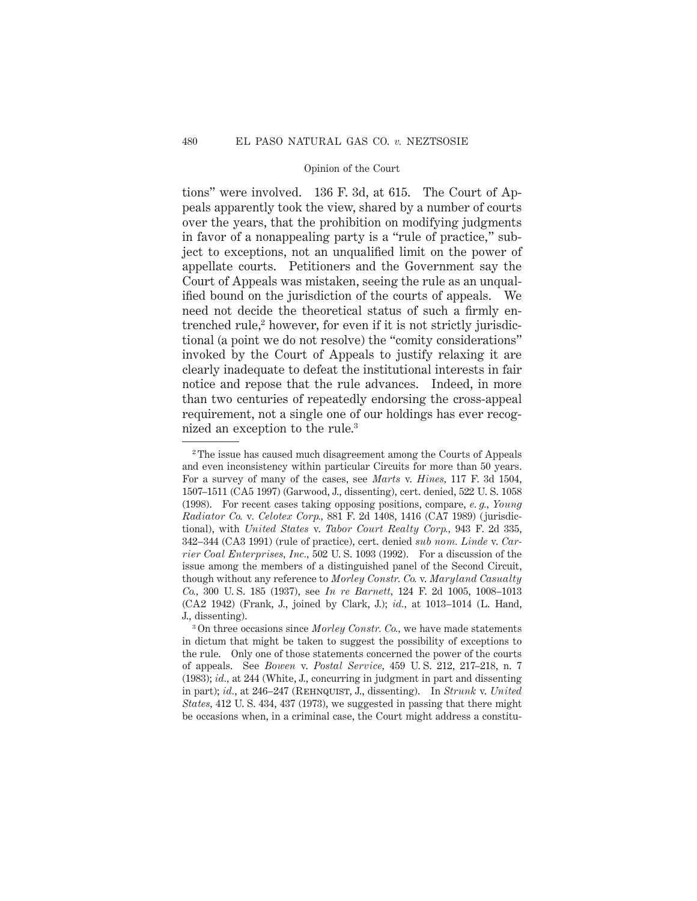tions" were involved. 136 F. 3d, at 615. The Court of Appeals apparently took the view, shared by a number of courts over the years, that the prohibition on modifying judgments in favor of a nonappealing party is a "rule of practice," subject to exceptions, not an unqualified limit on the power of appellate courts. Petitioners and the Government say the Court of Appeals was mistaken, seeing the rule as an unqualified bound on the jurisdiction of the courts of appeals. We need not decide the theoretical status of such a firmly entrenched rule,<sup>2</sup> however, for even if it is not strictly jurisdictional (a point we do not resolve) the "comity considerations" invoked by the Court of Appeals to justify relaxing it are clearly inadequate to defeat the institutional interests in fair notice and repose that the rule advances. Indeed, in more than two centuries of repeatedly endorsing the cross-appeal requirement, not a single one of our holdings has ever recognized an exception to the rule.3

<sup>&</sup>lt;sup>2</sup> The issue has caused much disagreement among the Courts of Appeals and even inconsistency within particular Circuits for more than 50 years. For a survey of many of the cases, see *Marts* v. *Hines,* 117 F. 3d 1504, 1507–1511 (CA5 1997) (Garwood, J., dissenting), cert. denied, 522 U. S. 1058 (1998). For recent cases taking opposing positions, compare, *e. g., Young Radiator Co.* v*. Celotex Corp.,* 881 F. 2d 1408, 1416 (CA7 1989) (jurisdictional), with *United States* v. *Tabor Court Realty Corp.,* 943 F. 2d 335, 342–344 (CA3 1991) (rule of practice), cert. denied *sub nom. Linde* v. *Carrier Coal Enterprises, Inc.,* 502 U. S. 1093 (1992). For a discussion of the issue among the members of a distinguished panel of the Second Circuit, though without any reference to *Morley Constr. Co.* v. *Maryland Casualty Co.,* 300 U. S. 185 (1937), see *In re Barnett,* 124 F. 2d 1005, 1008–1013 (CA2 1942) (Frank, J., joined by Clark, J.); *id.,* at 1013–1014 (L. Hand, J., dissenting).

<sup>3</sup> On three occasions since *Morley Constr. Co.,* we have made statements in dictum that might be taken to suggest the possibility of exceptions to the rule. Only one of those statements concerned the power of the courts of appeals. See *Bowen* v. *Postal Service,* 459 U. S. 212, 217–218, n. 7 (1983); *id.,* at 244 (White, J., concurring in judgment in part and dissenting in part); *id.*, at 246–247 (Rehnquist, J., dissenting). In *Strunk* v. *United States,* 412 U. S. 434, 437 (1973), we suggested in passing that there might be occasions when, in a criminal case, the Court might address a constitu-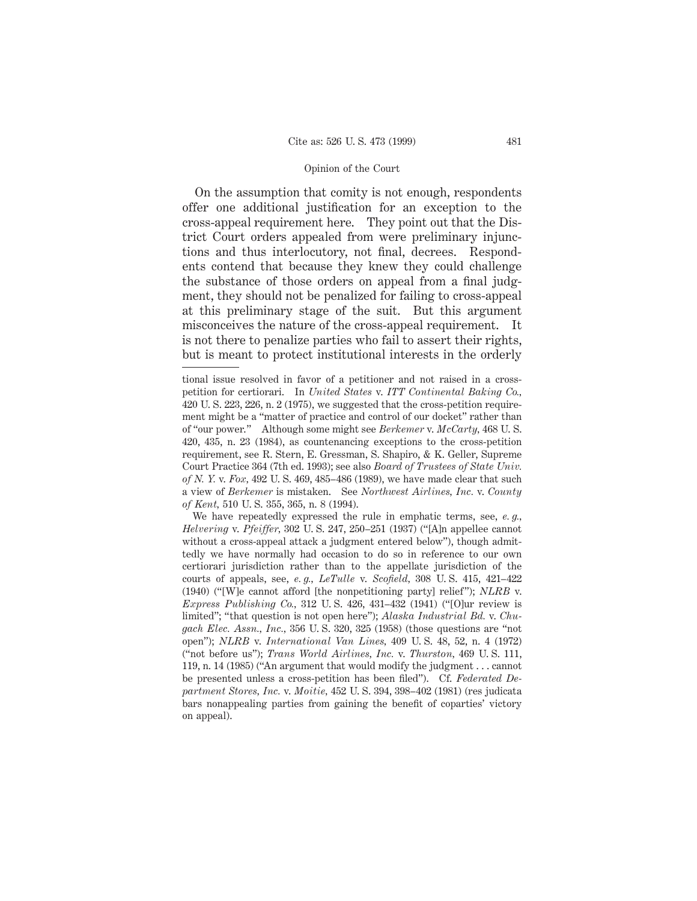On the assumption that comity is not enough, respondents offer one additional justification for an exception to the cross-appeal requirement here. They point out that the District Court orders appealed from were preliminary injunctions and thus interlocutory, not final, decrees. Respondents contend that because they knew they could challenge the substance of those orders on appeal from a final judgment, they should not be penalized for failing to cross-appeal at this preliminary stage of the suit. But this argument misconceives the nature of the cross-appeal requirement. It is not there to penalize parties who fail to assert their rights, but is meant to protect institutional interests in the orderly

We have repeatedly expressed the rule in emphatic terms, see, *e. g., Helvering* v. *Pfeiffer,* 302 U. S. 247, 250–251 (1937) ("[A]n appellee cannot without a cross-appeal attack a judgment entered below"), though admittedly we have normally had occasion to do so in reference to our own certiorari jurisdiction rather than to the appellate jurisdiction of the courts of appeals, see, *e. g., LeTulle* v. *Scofield,* 308 U. S. 415, 421–422 (1940) ("[W]e cannot afford [the nonpetitioning party] relief"); *NLRB* v. *Express Publishing Co.,* 312 U. S. 426, 431–432 (1941) ("[O]ur review is limited"; "that question is not open here"); *Alaska Industrial Bd.* v. *Chugach Elec. Assn., Inc.,* 356 U. S. 320, 325 (1958) (those questions are "not open"); *NLRB* v. *International Van Lines,* 409 U. S. 48, 52, n. 4 (1972) ("not before us"); *Trans World Airlines, Inc.* v. *Thurston,* 469 U. S. 111, 119, n. 14 (1985) ("An argument that would modify the judgment . . . cannot be presented unless a cross-petition has been filed"). Cf. *Federated Department Stores, Inc.* v. *Moitie,* 452 U. S. 394, 398–402 (1981) (res judicata bars nonappealing parties from gaining the benefit of coparties' victory on appeal).

tional issue resolved in favor of a petitioner and not raised in a crosspetition for certiorari. In *United States* v. *ITT Continental Baking Co.,* 420 U. S. 223, 226, n. 2 (1975), we suggested that the cross-petition requirement might be a "matter of practice and control of our docket" rather than of "our power." Although some might see *Berkemer* v. *McCarty,* 468 U. S. 420, 435, n. 23 (1984), as countenancing exceptions to the cross-petition requirement, see R. Stern, E. Gressman, S. Shapiro, & K. Geller, Supreme Court Practice 364 (7th ed. 1993); see also *Board of Trustees of State Univ. of N. Y.* v. *Fox,* 492 U. S. 469, 485–486 (1989), we have made clear that such a view of *Berkemer* is mistaken. See *Northwest Airlines, Inc.* v. *County of Kent,* 510 U. S. 355, 365, n. 8 (1994).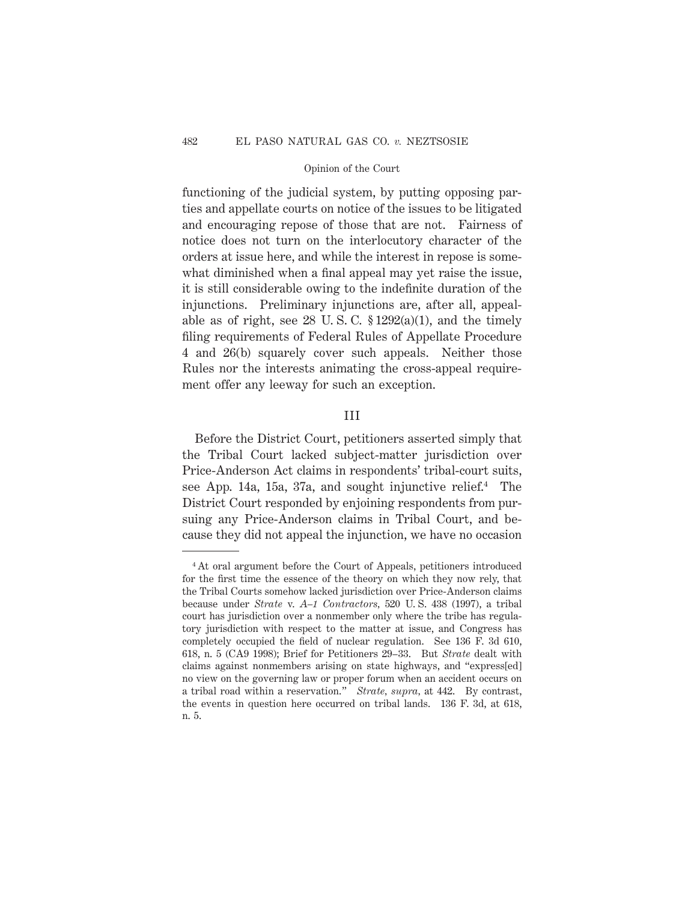functioning of the judicial system, by putting opposing parties and appellate courts on notice of the issues to be litigated and encouraging repose of those that are not. Fairness of notice does not turn on the interlocutory character of the orders at issue here, and while the interest in repose is somewhat diminished when a final appeal may yet raise the issue, it is still considerable owing to the indefinite duration of the injunctions. Preliminary injunctions are, after all, appealable as of right, see 28 U.S.C.  $$1292(a)(1)$ , and the timely filing requirements of Federal Rules of Appellate Procedure 4 and 26(b) squarely cover such appeals. Neither those Rules nor the interests animating the cross-appeal requirement offer any leeway for such an exception.

# III

Before the District Court, petitioners asserted simply that the Tribal Court lacked subject-matter jurisdiction over Price-Anderson Act claims in respondents' tribal-court suits, see App. 14a, 15a, 37a, and sought injunctive relief.<sup>4</sup> The District Court responded by enjoining respondents from pursuing any Price-Anderson claims in Tribal Court, and because they did not appeal the injunction, we have no occasion

<sup>4</sup> At oral argument before the Court of Appeals, petitioners introduced for the first time the essence of the theory on which they now rely, that the Tribal Courts somehow lacked jurisdiction over Price-Anderson claims because under *Strate* v. *A–1 Contractors,* 520 U. S. 438 (1997), a tribal court has jurisdiction over a nonmember only where the tribe has regulatory jurisdiction with respect to the matter at issue, and Congress has completely occupied the field of nuclear regulation. See 136 F. 3d 610, 618, n. 5 (CA9 1998); Brief for Petitioners 29–33. But *Strate* dealt with claims against nonmembers arising on state highways, and "express[ed] no view on the governing law or proper forum when an accident occurs on a tribal road within a reservation." *Strate, supra,* at 442. By contrast, the events in question here occurred on tribal lands. 136 F. 3d, at 618, n. 5.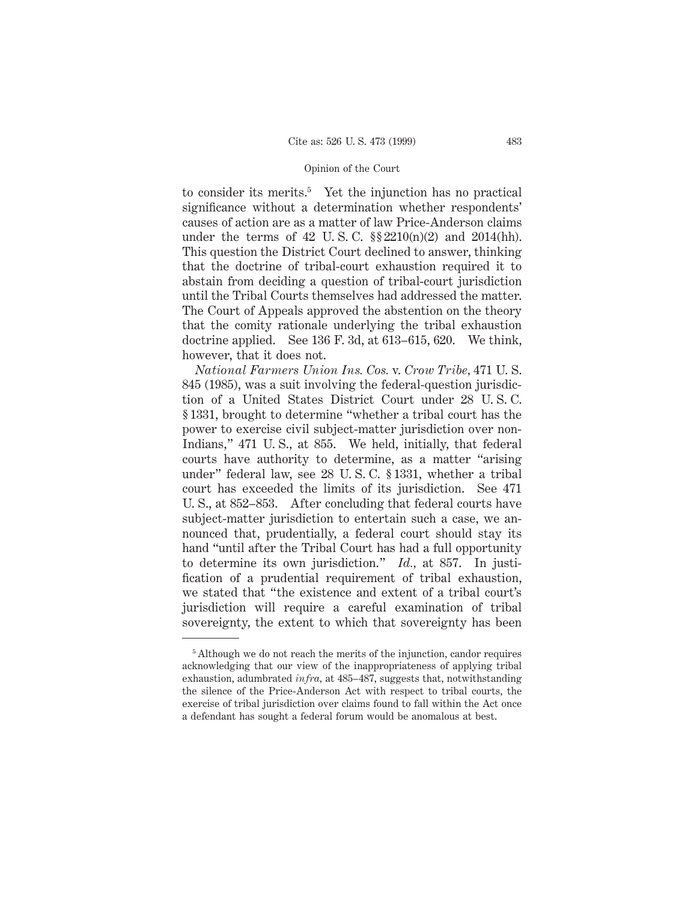to consider its merits.<sup>5</sup> Yet the injunction has no practical significance without a determination whether respondents' causes of action are as a matter of law Price-Anderson claims under the terms of 42 U.S.C.  $\S$ 2210(n)(2) and 2014(hh). This question the District Court declined to answer, thinking that the doctrine of tribal-court exhaustion required it to abstain from deciding a question of tribal-court jurisdiction until the Tribal Courts themselves had addressed the matter. The Court of Appeals approved the abstention on the theory that the comity rationale underlying the tribal exhaustion doctrine applied. See 136 F. 3d, at 613–615, 620. We think, however, that it does not.

*National Farmers Union Ins. Cos.* v. *Crow Tribe,* 471 U. S. 845 (1985), was a suit involving the federal-question jurisdiction of a United States District Court under 28 U. S. C. § 1331, brought to determine "whether a tribal court has the power to exercise civil subject-matter jurisdiction over non-Indians," 471 U. S., at 855. We held, initially, that federal courts have authority to determine, as a matter "arising under" federal law, see 28 U. S. C. § 1331, whether a tribal court has exceeded the limits of its jurisdiction. See 471 U. S., at 852–853. After concluding that federal courts have subject-matter jurisdiction to entertain such a case, we announced that, prudentially, a federal court should stay its hand "until after the Tribal Court has had a full opportunity to determine its own jurisdiction." *Id.,* at 857. In justification of a prudential requirement of tribal exhaustion, we stated that "the existence and extent of a tribal court's jurisdiction will require a careful examination of tribal sovereignty, the extent to which that sovereignty has been

<sup>&</sup>lt;sup>5</sup> Although we do not reach the merits of the injunction, candor requires acknowledging that our view of the inappropriateness of applying tribal exhaustion, adumbrated *infra,* at 485–487, suggests that, notwithstanding the silence of the Price-Anderson Act with respect to tribal courts, the exercise of tribal jurisdiction over claims found to fall within the Act once a defendant has sought a federal forum would be anomalous at best.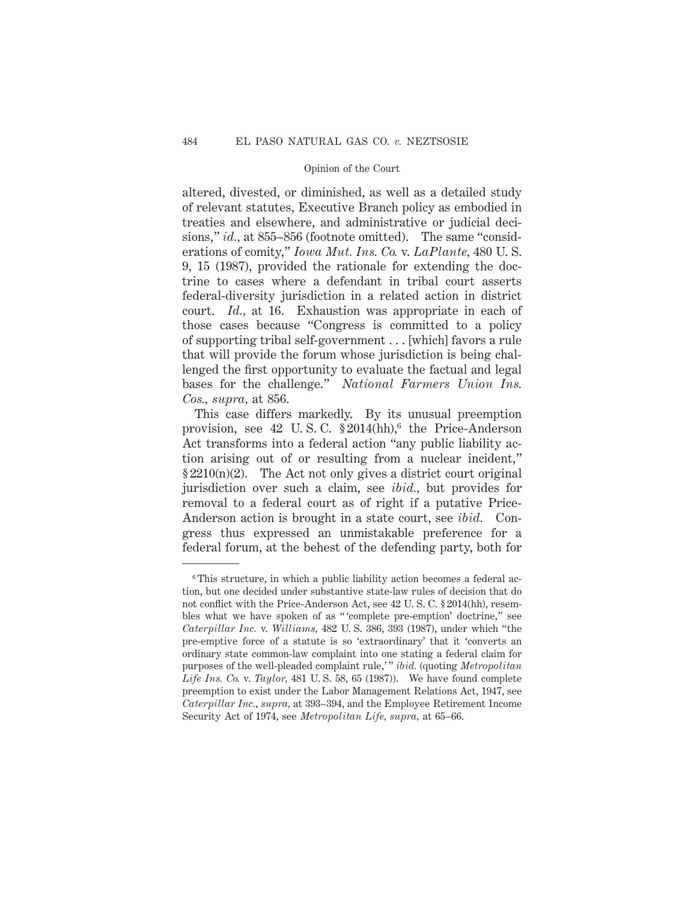altered, divested, or diminished, as well as a detailed study of relevant statutes, Executive Branch policy as embodied in treaties and elsewhere, and administrative or judicial decisions," *id.*, at 855–856 (footnote omitted). The same "considerations of comity," *Iowa Mut. Ins. Co.* v. *LaPlante,* 480 U. S. 9, 15 (1987), provided the rationale for extending the doctrine to cases where a defendant in tribal court asserts federal-diversity jurisdiction in a related action in district court. *Id.,* at 16. Exhaustion was appropriate in each of those cases because "Congress is committed to a policy of supporting tribal self-government . . . [which] favors a rule that will provide the forum whose jurisdiction is being challenged the first opportunity to evaluate the factual and legal bases for the challenge." *National Farmers Union Ins. Cos., supra,* at 856.

This case differs markedly. By its unusual preemption provision, see 42 U.S.C.  $\S 2014(hh)$ , the Price-Anderson Act transforms into a federal action "any public liability action arising out of or resulting from a nuclear incident,"  $§ 2210(n)(2)$ . The Act not only gives a district court original jurisdiction over such a claim, see *ibid.,* but provides for removal to a federal court as of right if a putative Price-Anderson action is brought in a state court, see *ibid.* Congress thus expressed an unmistakable preference for a federal forum, at the behest of the defending party, both for

<sup>6</sup> This structure, in which a public liability action becomes a federal action, but one decided under substantive state-law rules of decision that do not conflict with the Price-Anderson Act, see 42 U. S. C. § 2014(hh), resembles what we have spoken of as " 'complete pre-emption' doctrine," see *Caterpillar Inc.* v. *Williams,* 482 U. S. 386, 393 (1987), under which "the pre-emptive force of a statute is so 'extraordinary' that it 'converts an ordinary state common-law complaint into one stating a federal claim for purposes of the well-pleaded complaint rule,'" *ibid.* (quoting *Metropolitan Life Ins. Co.* v. *Taylor,* 481 U. S. 58, 65 (1987)). We have found complete preemption to exist under the Labor Management Relations Act, 1947, see *Caterpillar Inc., supra,* at 393–394, and the Employee Retirement Income Security Act of 1974, see *Metropolitan Life, supra,* at 65–66.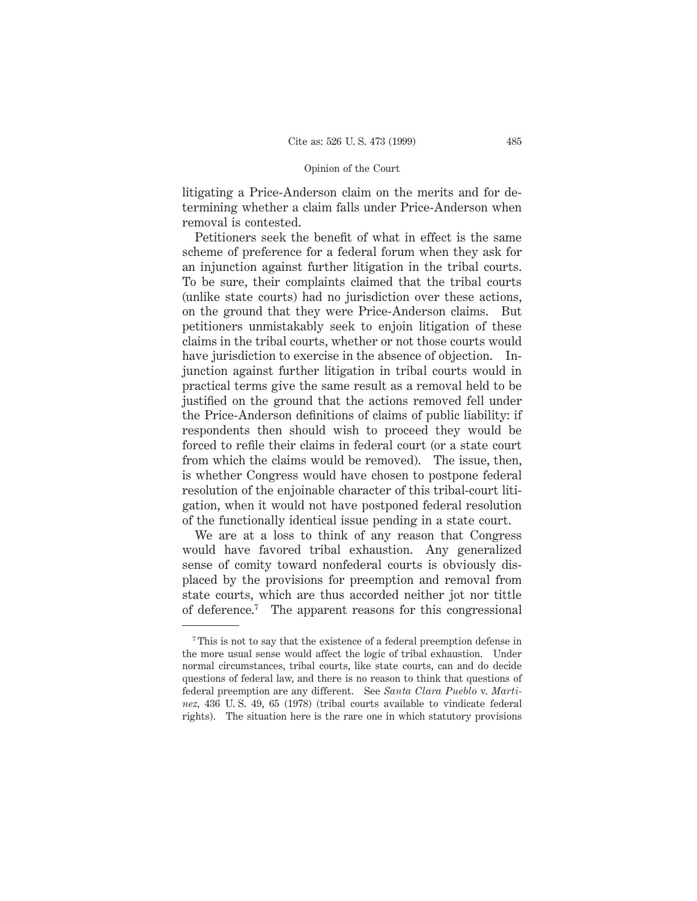litigating a Price-Anderson claim on the merits and for determining whether a claim falls under Price-Anderson when removal is contested.

Petitioners seek the benefit of what in effect is the same scheme of preference for a federal forum when they ask for an injunction against further litigation in the tribal courts. To be sure, their complaints claimed that the tribal courts (unlike state courts) had no jurisdiction over these actions, on the ground that they were Price-Anderson claims. But petitioners unmistakably seek to enjoin litigation of these claims in the tribal courts, whether or not those courts would have jurisdiction to exercise in the absence of objection. Injunction against further litigation in tribal courts would in practical terms give the same result as a removal held to be justified on the ground that the actions removed fell under the Price-Anderson definitions of claims of public liability: if respondents then should wish to proceed they would be forced to refile their claims in federal court (or a state court from which the claims would be removed). The issue, then, is whether Congress would have chosen to postpone federal resolution of the enjoinable character of this tribal-court litigation, when it would not have postponed federal resolution of the functionally identical issue pending in a state court.

We are at a loss to think of any reason that Congress would have favored tribal exhaustion. Any generalized sense of comity toward nonfederal courts is obviously displaced by the provisions for preemption and removal from state courts, which are thus accorded neither jot nor tittle of deference.7 The apparent reasons for this congressional

<sup>7</sup> This is not to say that the existence of a federal preemption defense in the more usual sense would affect the logic of tribal exhaustion. Under normal circumstances, tribal courts, like state courts, can and do decide questions of federal law, and there is no reason to think that questions of federal preemption are any different. See *Santa Clara Pueblo* v. *Martinez,* 436 U. S. 49, 65 (1978) (tribal courts available to vindicate federal rights). The situation here is the rare one in which statutory provisions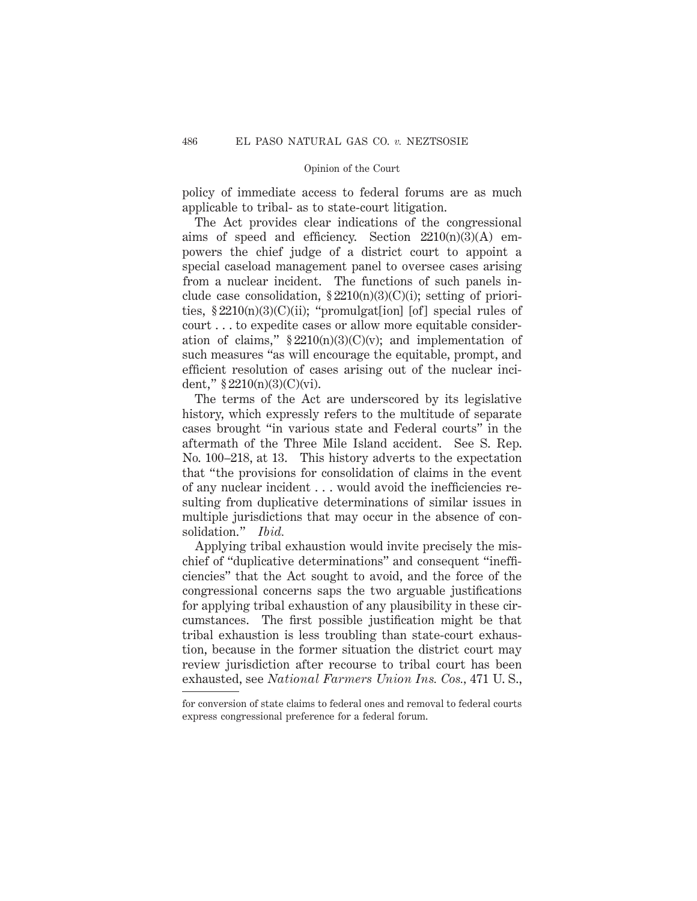policy of immediate access to federal forums are as much applicable to tribal- as to state-court litigation.

The Act provides clear indications of the congressional aims of speed and efficiency. Section  $2210(n)(3)(A)$  empowers the chief judge of a district court to appoint a special caseload management panel to oversee cases arising from a nuclear incident. The functions of such panels include case consolidation,  $\S 2210(n)(3)(C)(i)$ ; setting of priorities,  $$2210(n)(3)(C)(ii)$ ; "promulgat[ion] [of] special rules of court . . . to expedite cases or allow more equitable consideration of claims,"  $\S 2210(n)(3)(C)(v)$ ; and implementation of such measures "as will encourage the equitable, prompt, and efficient resolution of cases arising out of the nuclear incident,"  $§ 2210(n)(3)(C)(vi)$ .

The terms of the Act are underscored by its legislative history, which expressly refers to the multitude of separate cases brought "in various state and Federal courts" in the aftermath of the Three Mile Island accident. See S. Rep. No. 100–218, at 13. This history adverts to the expectation that "the provisions for consolidation of claims in the event of any nuclear incident . . . would avoid the inefficiencies resulting from duplicative determinations of similar issues in multiple jurisdictions that may occur in the absence of consolidation." *Ibid.*

Applying tribal exhaustion would invite precisely the mischief of "duplicative determinations" and consequent "inefficiencies" that the Act sought to avoid, and the force of the congressional concerns saps the two arguable justifications for applying tribal exhaustion of any plausibility in these circumstances. The first possible justification might be that tribal exhaustion is less troubling than state-court exhaustion, because in the former situation the district court may review jurisdiction after recourse to tribal court has been exhausted, see *National Farmers Union Ins. Cos.,* 471 U. S.,

for conversion of state claims to federal ones and removal to federal courts express congressional preference for a federal forum.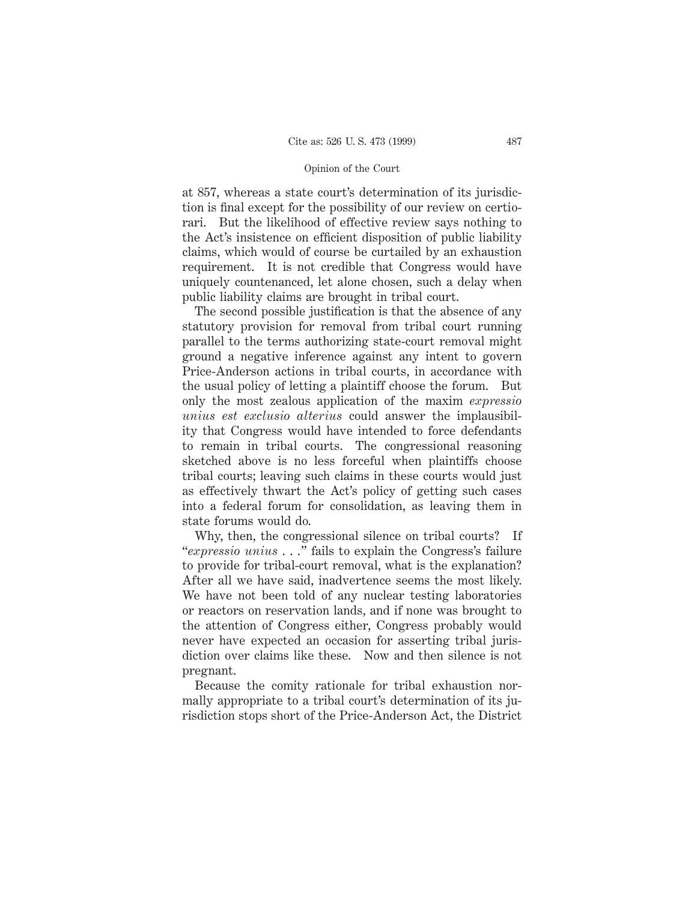at 857, whereas a state court's determination of its jurisdiction is final except for the possibility of our review on certiorari. But the likelihood of effective review says nothing to the Act's insistence on efficient disposition of public liability claims, which would of course be curtailed by an exhaustion requirement. It is not credible that Congress would have uniquely countenanced, let alone chosen, such a delay when public liability claims are brought in tribal court.

The second possible justification is that the absence of any statutory provision for removal from tribal court running parallel to the terms authorizing state-court removal might ground a negative inference against any intent to govern Price-Anderson actions in tribal courts, in accordance with the usual policy of letting a plaintiff choose the forum. But only the most zealous application of the maxim *expressio unius est exclusio alterius* could answer the implausibility that Congress would have intended to force defendants to remain in tribal courts. The congressional reasoning sketched above is no less forceful when plaintiffs choose tribal courts; leaving such claims in these courts would just as effectively thwart the Act's policy of getting such cases into a federal forum for consolidation, as leaving them in state forums would do.

Why, then, the congressional silence on tribal courts? If "*expressio unius* . . ." fails to explain the Congress's failure to provide for tribal-court removal, what is the explanation? After all we have said, inadvertence seems the most likely. We have not been told of any nuclear testing laboratories or reactors on reservation lands, and if none was brought to the attention of Congress either, Congress probably would never have expected an occasion for asserting tribal jurisdiction over claims like these. Now and then silence is not pregnant.

Because the comity rationale for tribal exhaustion normally appropriate to a tribal court's determination of its jurisdiction stops short of the Price-Anderson Act, the District